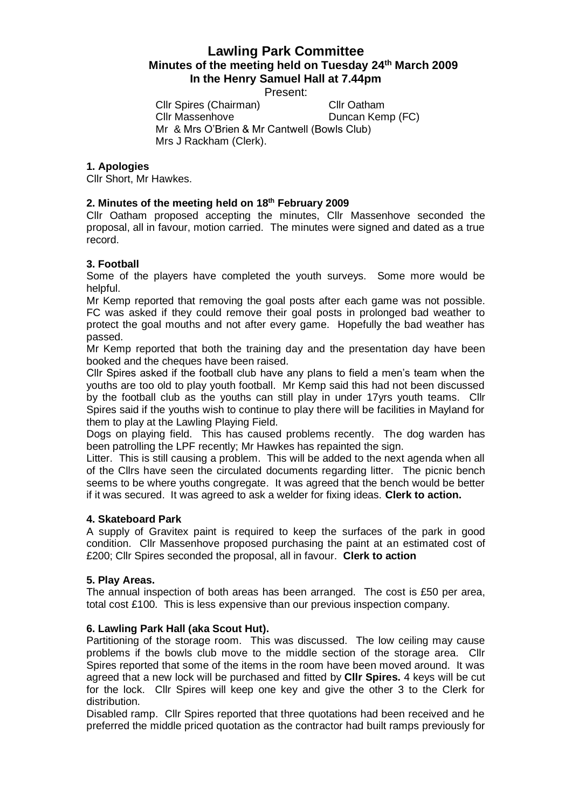# **Lawling Park Committee Minutes of the meeting held on Tuesday 24th March 2009 In the Henry Samuel Hall at 7.44pm**

Present:

Cllr Spires (Chairman) Cllr Oatham<br>Cllr Massenhove Duncan Kem Duncan Kemp (FC) Mr & Mrs O'Brien & Mr Cantwell (Bowls Club) Mrs J Rackham (Clerk).

## **1. Apologies**

Cllr Short, Mr Hawkes.

# **2. Minutes of the meeting held on 18th February 2009**

Cllr Oatham proposed accepting the minutes, Cllr Massenhove seconded the proposal, all in favour, motion carried. The minutes were signed and dated as a true record.

# **3. Football**

Some of the players have completed the youth surveys. Some more would be helpful.

Mr Kemp reported that removing the goal posts after each game was not possible. FC was asked if they could remove their goal posts in prolonged bad weather to protect the goal mouths and not after every game. Hopefully the bad weather has passed.

Mr Kemp reported that both the training day and the presentation day have been booked and the cheques have been raised.

Cllr Spires asked if the football club have any plans to field a men's team when the youths are too old to play youth football. Mr Kemp said this had not been discussed by the football club as the youths can still play in under 17yrs youth teams. Cllr Spires said if the youths wish to continue to play there will be facilities in Mayland for them to play at the Lawling Playing Field.

Dogs on playing field. This has caused problems recently. The dog warden has been patrolling the LPF recently; Mr Hawkes has repainted the sign.

Litter. This is still causing a problem. This will be added to the next agenda when all of the Cllrs have seen the circulated documents regarding litter. The picnic bench seems to be where youths congregate. It was agreed that the bench would be better if it was secured. It was agreed to ask a welder for fixing ideas. **Clerk to action.**

#### **4. Skateboard Park**

A supply of Gravitex paint is required to keep the surfaces of the park in good condition. Cllr Massenhove proposed purchasing the paint at an estimated cost of £200; Cllr Spires seconded the proposal, all in favour. **Clerk to action**

#### **5. Play Areas.**

The annual inspection of both areas has been arranged. The cost is £50 per area, total cost £100. This is less expensive than our previous inspection company.

#### **6. Lawling Park Hall (aka Scout Hut).**

Partitioning of the storage room. This was discussed. The low ceiling may cause problems if the bowls club move to the middle section of the storage area. Cllr Spires reported that some of the items in the room have been moved around. It was agreed that a new lock will be purchased and fitted by **Cllr Spires.** 4 keys will be cut for the lock. Cllr Spires will keep one key and give the other 3 to the Clerk for distribution.

Disabled ramp. Cllr Spires reported that three quotations had been received and he preferred the middle priced quotation as the contractor had built ramps previously for